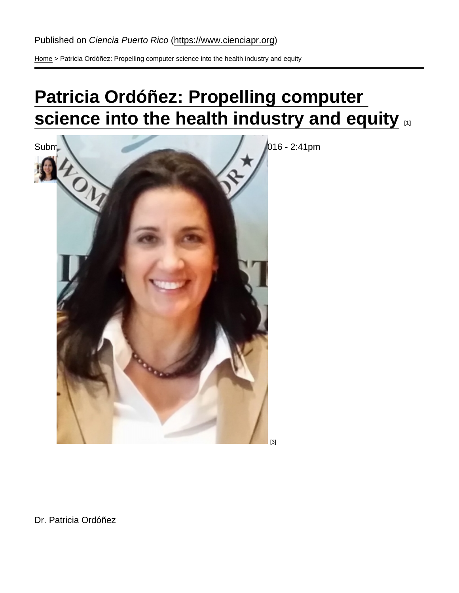[Home](https://www.cienciapr.org/en) > Patricia Ordóñez: Propelling computer science into the health industry and equity

# [Patricia Ordóñez: Propelling computer](https://www.cienciapr.org/en/monthly-story/patricia-ordonez-propelling-computer-science-health-industry-and-equity)  [science into the health industry and equity](https://www.cienciapr.org/en/monthly-story/patricia-ordonez-propelling-computer-science-health-industry-and-equity)  $\Box$

Sub[mitted by Reyna I. Martínez De Luna](https://www.cienciapr.org/sites/cienciapr.org/files/field/image/patricia_ordonez_1.jpg) [2] on 9 October 2016 - 2:41pm

[2]

[3]

Dr. Patricia Ordóñez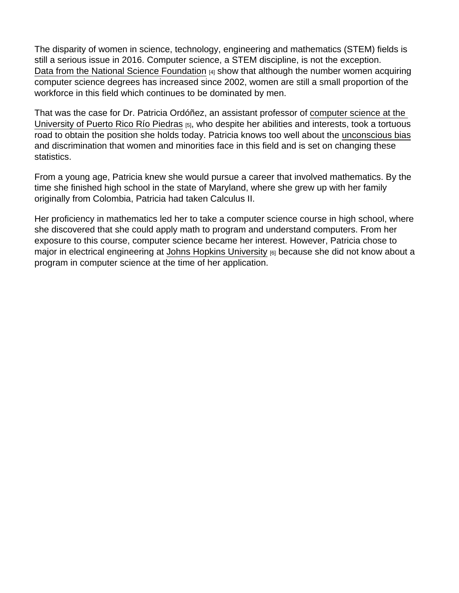The disparity of women in science, technology, engineering and mathematics (STEM) fields is still a serious issue in 2016. Computer science, a STEM discipline, is not the exception. [Data from the National Science Foundation](http://www.nsf.gov/statistics/2015/nsf15311/start.cfm) [4] show that although the number women acquiring computer science degrees has increased since 2002, women are still a small proportion of the workforce in this field which continues to be dominated by men.

That was the case for Dr. Patricia Ordóñez, an assistant professor of [computer science at the](http://ccom.uprrp.edu/2016/wordpress/)  [University of Puerto Rico Río Piedras](http://ccom.uprrp.edu/2016/wordpress/) [5], who despite her abilities and interests, took a tortuous road to obtain the position she holds today. Patricia knows too well about the unconscious bias and discrimination that women and minorities face in this field and is set on changing these statistics.

From a young age, Patricia knew she would pursue a career that involved mathematics. By the time she finished high school in the state of Maryland, where she grew up with her family originally from Colombia, Patricia had taken Calculus II.

Her proficiency in mathematics led her to take a computer science course in high school, where she discovered that she could apply math to program and understand computers. From her exposure to this course, computer science became her interest. However, Patricia chose to major in electrical engineering at [Johns Hopkins University](https://www.jhu.edu) [6] because she did not know about a program in computer science at the time of her application.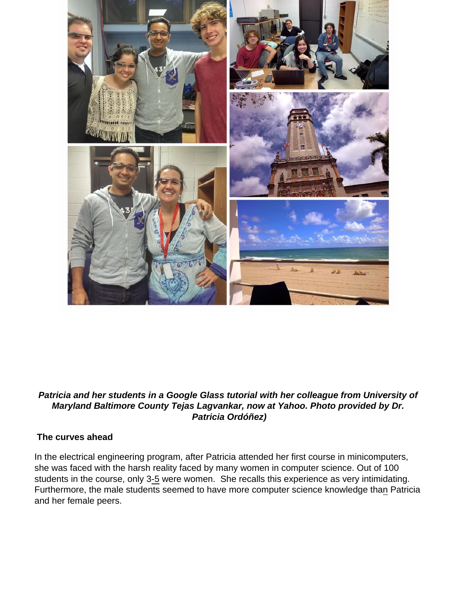

### **Patricia and her students in a Google Glass tutorial with her colleague from University of Maryland Baltimore County Tejas Lagvankar, now at Yahoo. Photo provided by Dr. Patricia Ordóñez)**

### **The curves ahead**

In the electrical engineering program, after Patricia attended her first course in minicomputers, she was faced with the harsh reality faced by many women in computer science. Out of 100 students in the course, only 3-5 were women. She recalls this experience as very intimidating. Furthermore, the male students seemed to have more computer science knowledge than Patricia and her female peers.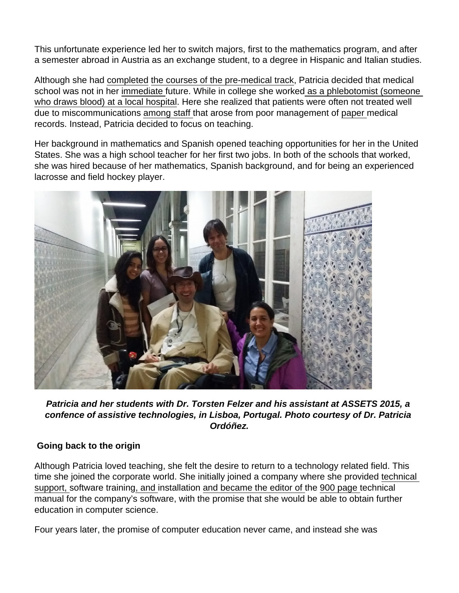This unfortunate experience led her to switch majors, first to the mathematics program, and after a semester abroad in Austria as an exchange student, to a degree in Hispanic and Italian studies.

Although she had completed the courses of the pre-medical track, Patricia decided that medical school was not in her immediate future. While in college she worked as a phlebotomist (someone who draws blood) at a local hospital. Here she realized that patients were often not treated well due to miscommunications among staff that arose from poor management of paper medical records. Instead, Patricia decided to focus on teaching.

Her background in mathematics and Spanish opened teaching opportunities for her in the United States. She was a high school teacher for her first two jobs. In both of the schools that worked, she was hired because of her mathematics, Spanish background, and for being an experienced lacrosse and field hockey player.



**Patricia and her students with Dr. Torsten Felzer and his assistant at ASSETS 2015, a confence of assistive technologies, in Lisboa, Portugal. Photo courtesy of Dr. Patricia Ordóñez.**

### **Going back to the origin**

Although Patricia loved teaching, she felt the desire to return to a technology related field. This time she joined the corporate world. She initially joined a company where she provided technical support, software training, and installation and became the editor of the 900 page technical manual for the company's software, with the promise that she would be able to obtain further education in computer science.

Four years later, the promise of computer education never came, and instead she was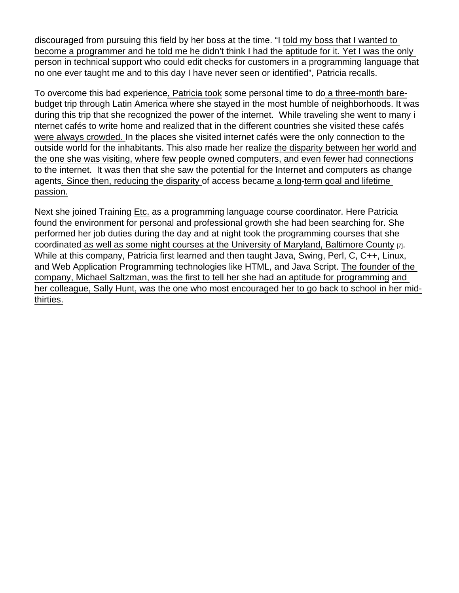discouraged from pursuing this field by her boss at the time. "I told my boss that I wanted to become a programmer and he told me he didn't think I had the aptitude for it. Yet I was the only person in technical support who could edit checks for customers in a programming language that no one ever taught me and to this day I have never seen or identified", Patricia recalls.

To overcome this bad experience, Patricia took some personal time to do a three-month barebudget trip through Latin America where she stayed in the most humble of neighborhoods. It was during this trip that she recognized the power of the internet. While traveling she went to many i nternet cafés to write home and realized that in the different countries she visited these cafés were always crowded. In the places she visited internet cafés were the only connection to the outside world for the inhabitants. This also made her realize the disparity between her world and the one she was visiting, where few people owned computers, and even fewer had connections to the internet. It was then that she saw the potential for the Internet and computers as change agents. Since then, reducing the disparity of access became a long-term goal and lifetime passion.

Next she joined Training Etc. as a programming language course coordinator. Here Patricia found the environment for personal and professional growth she had been searching for. She performed her job duties during the day and at night took the programming courses that she coordinated as well as some night courses at the [University of Maryland, Baltimore County](http://www.umbc.edu) [7]. While at this company, Patricia first learned and then taught Java, Swing, Perl, C, C++, Linux, and Web Application Programming technologies like HTML, and Java Script. The founder of the company, Michael Saltzman, was the first to tell her she had an aptitude for programming and her colleague, Sally Hunt, was the one who most encouraged her to go back to school in her midthirties.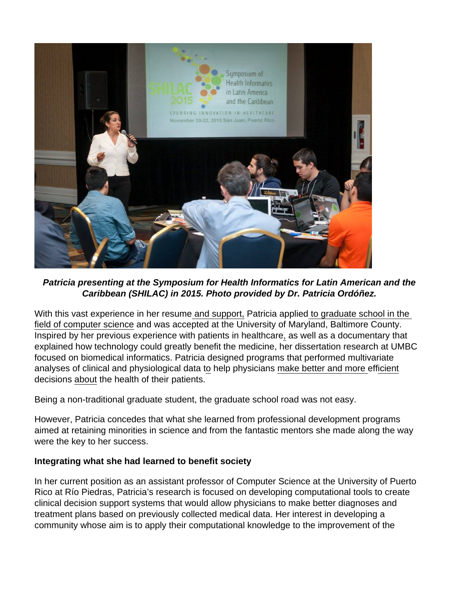

**Patricia presenting at the Symposium for Health Informatics for Latin American and the Caribbean (SHILAC) in 2015. Photo provided by Dr. Patricia Ordóñez.**

With this vast experience in her resume and support, Patricia applied to graduate school in the field of computer science and was accepted at the University of Maryland, Baltimore County. Inspired by her previous experience with patients in healthcare, as well as a documentary that explained how technology could greatly benefit the medicine, her dissertation research at UMBC focused on biomedical informatics. Patricia designed programs that performed multivariate analyses of clinical and physiological data to help physicians make better and more efficient decisions about the health of their patients.

Being a non-traditional graduate student, the graduate school road was not easy.

However, Patricia concedes that what she learned from professional development programs aimed at retaining minorities in science and from the fantastic mentors she made along the way were the key to her success.

#### **Integrating what she had learned to benefit society**

In her current position as an assistant professor of Computer Science at the University of Puerto Rico at Río Piedras, Patricia's research is focused on developing computational tools to create clinical decision support systems that would allow physicians to make better diagnoses and treatment plans based on previously collected medical data. Her interest in developing a community whose aim is to apply their computational knowledge to the improvement of the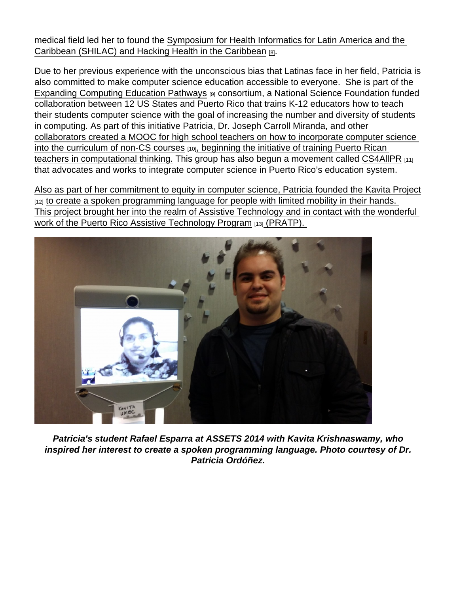medical field led her to found the [Symposium for Health Informatics for Latin America and the](http://shilac.org)  [Caribbean \(SHILAC\) and Hacking Health in the Caribbean](http://shilac.org) [8].

Due to her previous experience with the unconscious bias that Latinas face in her field, Patricia is also committed to make computer science education accessible to everyone. She is part of the [Expanding Computing Education Pathways](http://expandingcomputing.cs.umass.edu/puerto-rico) [9] consortium, a National Science Foundation funded collaboration between 12 US States and Puerto Rico that trains K-12 educators how to teach their students computer science with the goal of increasing the number and diversity of students in computing. As part of this initiative Patricia, Dr. Joseph Carroll Miranda, and other collaborators created a [MOOC for high school teachers on how to incorporate computer science](http://cs4hspuertorico.org)  [into the curriculum of non-CS courses](http://cs4hspuertorico.org)  $[10]$ , beginning the initiative of training Puerto Rican teachers in computational thinking. This group has also begun a movement called [CS4AllPR](http://www.cs4allpr.org) [11] that advocates and works to integrate computer science in Puerto Rico's education system.

Also as part of her commitment to equity in computer science, Patricia founded the [Kavita Project](http://www.thekavitaproject.org)  $12$  to create a spoken programming language for people with limited mobility in their hands. This project brought her into the realm of Assistive Technology and in contact with the wonderful work of the [Puerto Rico Assistive Technology Program](http://pratp.upr.edu) [13] (PRATP).

Patricia's student Rafael Esparra at ASSETS 2014 with Kavita Krishnaswamy, who inspired her interest to create a spoken programming language. Photo courtesy of Dr. Patricia Ordóñez.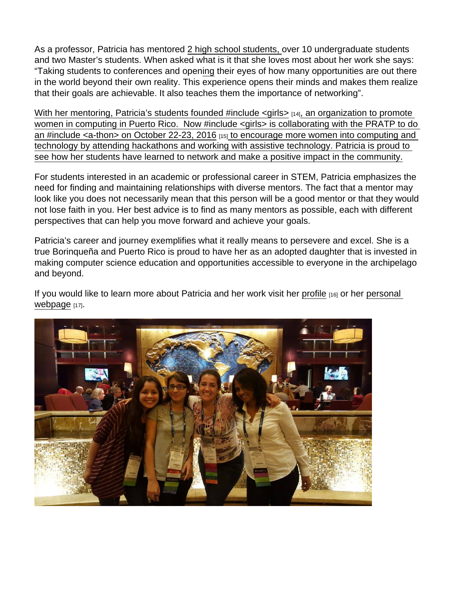As a professor, Patricia has mentored 2 high school students, over 10 undergraduate students and two Master's students. When asked what is it that she loves most about her work she says: "Taking students to conferences and opening their eyes of how many opportunities are out there in the world beyond their own reality. This experience opens their minds and makes them realize that their goals are achievable. It also teaches them the importance of networking".

With her mentoring, Patricia's students founded #include  $\langle$ girls $\rangle$  [14], an organization to promote women in computing in Puerto Rico. Now #include <girls> is collaborating with the PRATP to do an [#include <a-thon> on October 22-23, 2016](http://include-hackathon.herokuapp.com) [15] to encourage more women into computing and technology by attending hackathons and working with assistive technology. Patricia is proud to see how her students have learned to network and make a positive impact in the community.

For students interested in an academic or professional career in STEM, Patricia emphasizes the need for finding and maintaining relationships with diverse mentors. The fact that a mentor may look like you does not necessarily mean that this person will be a good mentor or that they would not lose faith in you. Her best advice is to find as many mentors as possible, each with different perspectives that can help you move forward and achieve your goals.

Patricia's career and journey exemplifies what it really means to persevere and excel. She is a true Borinqueña and Puerto Rico is proud to have her as an adopted daughter that is invested in making computer science education and opportunities accessible to everyone in the archipelago and beyond.

If you would like to learn more about Patricia and her work visit her [profile](http://www.cienciapr.org/en/user/patio66) [16] or her [personal](http://ccom.uprrp.edu/~pordonez/)  [webpage](http://ccom.uprrp.edu/~pordonez/) [17].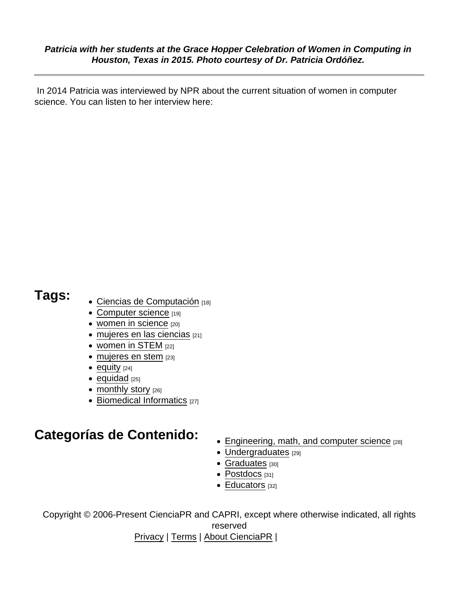Patricia with her students at the Grace Hopper Celebration of Women in Computing in Houston, Texas in 2015. Photo courtesy of Dr. Patricia Ordóñez.

 In 2014 Patricia was interviewed by NPR about the current situation of women in computer science. You can listen to her interview here:

- Tags: [Ciencias de Computación](https://www.cienciapr.org/en/tags/ciencias-de-computacion) [18]
	- [Computer science](https://www.cienciapr.org/en/tags/computer-science) [19]
	- [women in science](https://www.cienciapr.org/en/tags/women-science) [20]
	- [mujeres en las ciencias](https://www.cienciapr.org/en/tags/mujeres-en-las-ciencias) [21]
	- [women in STEM](https://www.cienciapr.org/en/tags/women-stem) [22]
	- [mujeres en stem](https://www.cienciapr.org/en/tags/mujeres-en-stem) [23]
	- $\bullet$  [equity](https://www.cienciapr.org/en/tags/equity)  $[24]$
	- $\bullet$  [equidad](https://www.cienciapr.org/en/tags/equidad)  $[25]$
	- [monthly story](https://www.cienciapr.org/en/tags/monthly-story) [26]
	- $\bullet$  [Biomedical Informatics](https://www.cienciapr.org/en/tags/biomedical-informatics)  $[27]$

## Categorías de Contenido:<br>
• [Engineering, math, and computer science](https://www.cienciapr.org/en/categorias-de-contenido/engineering-math-and-computer-science-0) [28]

- 
- [Undergraduates](https://www.cienciapr.org/en/categorias-de-contenido/undergraduates-0) [29]
- [Graduates](https://www.cienciapr.org/en/categorias-de-contenido/graduates-0) [30]
- [Postdocs](https://www.cienciapr.org/en/categorias-de-contenido/postdocs-0) [31]
- [Educators](https://www.cienciapr.org/en/categorias-de-contenido/educators-0) [32]

Copyright © 2006-Present CienciaPR and CAPRI, except where otherwise indicated, all rights reserved

[Privacy](https://www.cienciapr.org/site-use-and-privacy-policy) | [Terms](https://www.cienciapr.org/site-use-and-privacy-policy) | [About CienciaPR](https://www.cienciapr.org/about) |